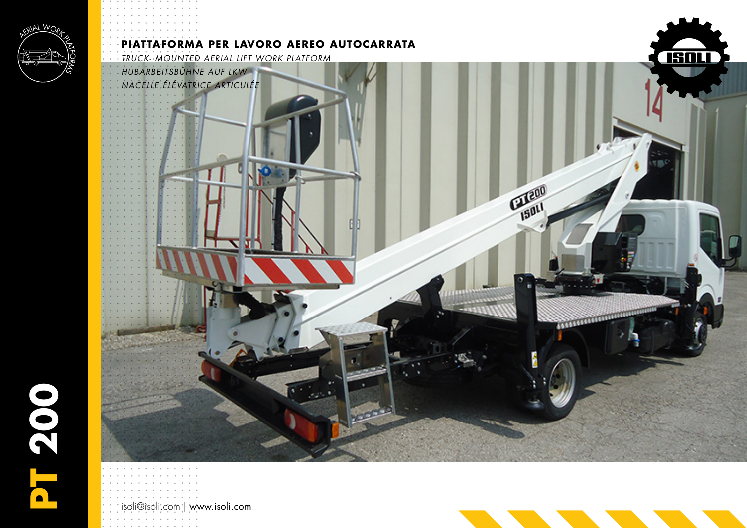

## **PIATTAFORMA PER LAVORO AEREO AUTOCARRATA**

*TRUCK- MOUNTED AERIAL LIFT WORK PLATFORM* 

*HUBARBEITSBÜHNE AUF LKW NACELLE ÉLÉVATRICE ARTICULÉE*

isoli@isoli.com | www.isoli.com



**COLORADOR** 

GLE00

<u>TSQLI</u>